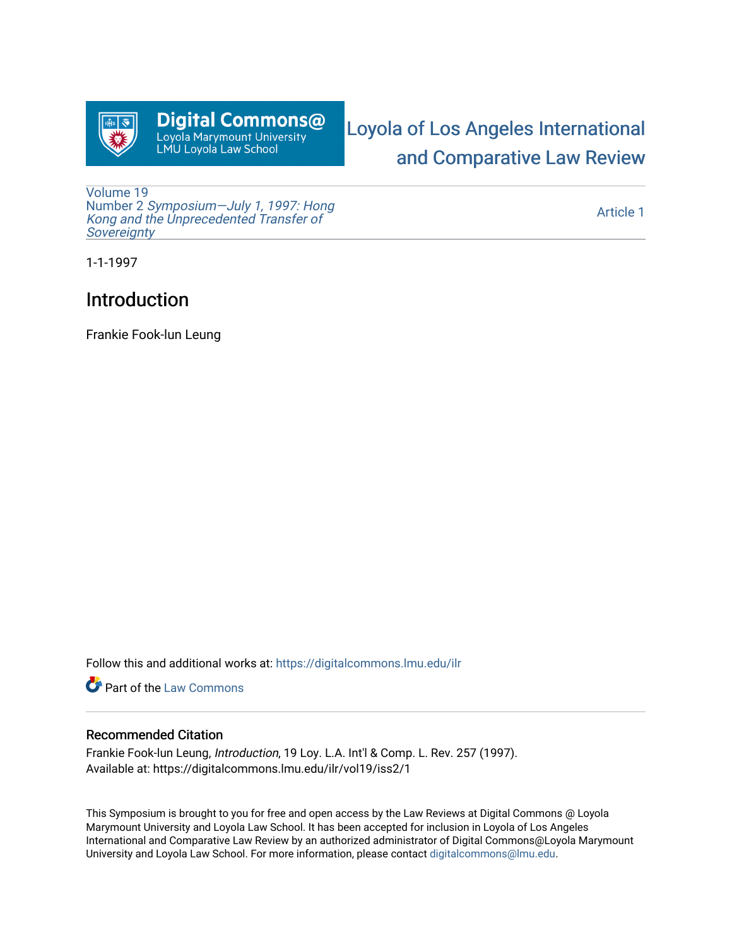

# Digital Commons@ Loyola Marymount University<br>Loyola Marymount University<br>LMU Loyola Law School

# [Loyola of Los Angeles International](https://digitalcommons.lmu.edu/ilr)  [and Comparative Law Review](https://digitalcommons.lmu.edu/ilr)

[Volume 19](https://digitalcommons.lmu.edu/ilr/vol19) Number 2 [Symposium—July 1, 1997: Hong](https://digitalcommons.lmu.edu/ilr/vol19/iss2)  [Kong and the Unprecedented Transfer of](https://digitalcommons.lmu.edu/ilr/vol19/iss2) **Sovereignty** 

[Article 1](https://digitalcommons.lmu.edu/ilr/vol19/iss2/1) 

1-1-1997

## Introduction

Frankie Fook-lun Leung

Follow this and additional works at: [https://digitalcommons.lmu.edu/ilr](https://digitalcommons.lmu.edu/ilr?utm_source=digitalcommons.lmu.edu%2Filr%2Fvol19%2Fiss2%2F1&utm_medium=PDF&utm_campaign=PDFCoverPages) 

**Part of the [Law Commons](http://network.bepress.com/hgg/discipline/578?utm_source=digitalcommons.lmu.edu%2Filr%2Fvol19%2Fiss2%2F1&utm_medium=PDF&utm_campaign=PDFCoverPages)** 

#### Recommended Citation

Frankie Fook-lun Leung, Introduction, 19 Loy. L.A. Int'l & Comp. L. Rev. 257 (1997). Available at: https://digitalcommons.lmu.edu/ilr/vol19/iss2/1

This Symposium is brought to you for free and open access by the Law Reviews at Digital Commons @ Loyola Marymount University and Loyola Law School. It has been accepted for inclusion in Loyola of Los Angeles International and Comparative Law Review by an authorized administrator of Digital Commons@Loyola Marymount University and Loyola Law School. For more information, please contact [digitalcommons@lmu.edu.](mailto:digitalcommons@lmu.edu)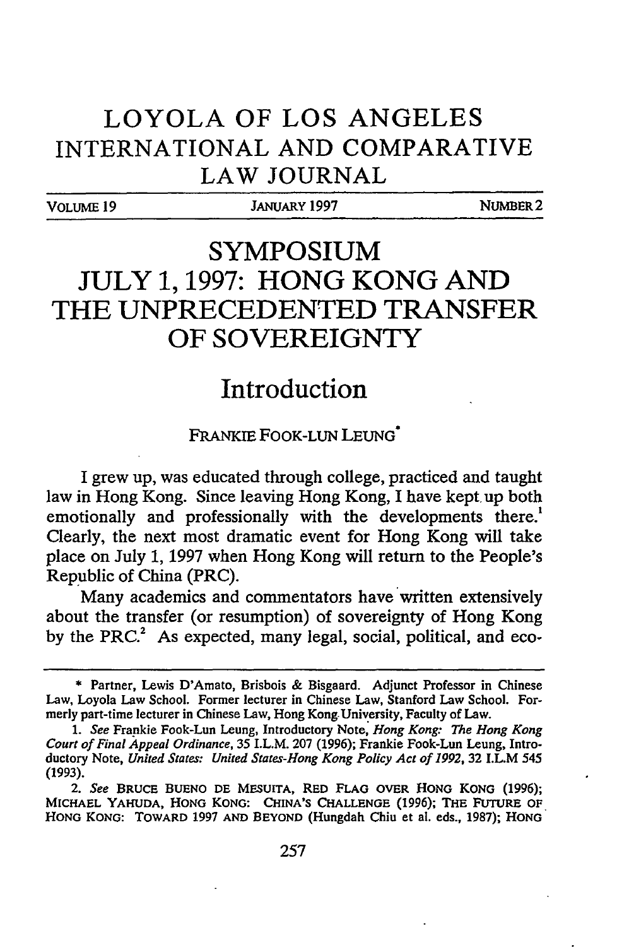### **LOYOLA OF LOS ANGELES INTERNATIONAL AND COMPARATIVE LAW JOURNAL**

VOLUME **19** JANUARY **1997** NUMBER2

# **SYMPOSIUM JULY 1, 1997: HONG KONG AND THE UNPRECEDENTED TRANSFER OF SOVEREIGNTY**

### **Introduction**

#### FRANKIE FOOK-LUN LEUNG\*

**I** grew up, was educated through college, practiced and taught law in Hong Kong. Since leaving Hong Kong, I have kept up both emotionally and professionally with the developments there.<sup>1</sup> Clearly, the next most dramatic event for Hong Kong will take place on July **1, 1997** when Hong Kong will return to the People's Republic of China (PRC).

Many academics and commentators have written extensively about the transfer (or resumption) of sovereignty of Hong Kong by the PRC.<sup>2</sup> As expected, many legal, social, political, and eco-

**<sup>\*</sup>** Partner, Lewis D'Amato, Brisbois & Bisgaard. Adjunct Professor in Chinese Law, Loyola Law School. Former lecturer in Chinese Law, Stanford Law School. Formerly part-time lecturer in Chinese Law, Hong Kong University, Faculty of Law.

*<sup>1.</sup>* See Frankie Fook-Lun Leung, Introductory Note, *Hong Kong: The Hong Kong* Court of Final *Appeal* Ordinance, 35 I.L.M. 207 **(1996);** Frankie Fook-Lun Leung, Introductory Note, United States: United States-Hong *Kong* Policy Act of **1992,** 32 I.L.M 545 (1993).

*<sup>2.</sup>* See **BRUCE BUENO DE** MESUITA, RED **FLAG** OVER **HONG** KONG **(1996);** MICHAEL YAHUDA, **HONG KONG: CHINA'S CHALLENGE (1996); THE FUTURE OF HONG KONG: TOWARD 1997 AND** BEYOND (Hungdah Chiu et al. eds., **1987); HONG**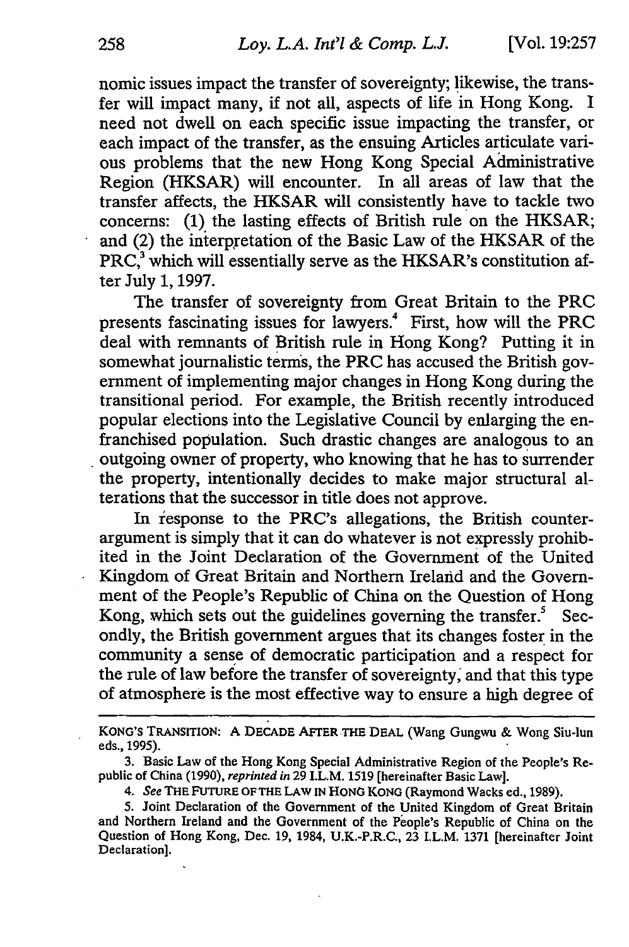nomic issues impact the transfer of sovereignty; likewise, the transfer will impact many, if not all, aspects of life in Hong Kong. I need not dwell on each specific issue impacting the transfer, or each impact of the transfer, as the ensuing Articles articulate various problems that the new Hong Kong Special Administrative Region (HKSAR) will encounter. In all areas of law that the transfer affects, the HKSAR will consistently have to tackle two concerns: (1) the lasting effects of British rule on the HKSAR; and (2) the interpretation of the Basic Law of the HKSAR of the  $PRC<sub>3</sub><sup>3</sup>$  which will essentially serve as the HKSAR's constitution after July 1, 1997.

The transfer of sovereignty from Great Britain to the PRC presents fascinating issues for lawyers.<sup>4</sup> First, how will the PRC deal with remnants of British rule in Hong Kong? Putting it in somewhat journalistic terms, the PRC has accused the British government of implementing major changes in Hong Kong during the transitional period. For example, the British recently introduced popular elections into the Legislative Council by enlarging the enfranchised population. Such drastic changes are analogous to an outgoing owner of property, who knowing that he has to surrender the property, intentionally decides to make major structural alterations that the successor in title does not approve.

In iesponse to the PRC's allegations, the British counterargument is simply that it can do whatever is not expressly prohibited in the Joint Declaration of the Government of the United Kingdom of Great Britain and Northern Ireland and the Government of the People's Republic of China on the Question of Hong Kong, which sets out the guidelines governing the transfer. $5$  Secondly, the British government argues that its changes foster in the community a sense of democratic participation and a respect for the rule of law before the transfer of sovereignty, and that this type of atmosphere is the most effective way to ensure a high degree of

KONG'S TRANSITION: **A DECADE** AFTER THE DEAL (Wang Gungwu & Wong Siu-lun eds., **1995).**

**<sup>3.</sup>** Basic Law of the Hong Kong Special Administrative Region of the People's Republic of China **(1990),** *reprinted in* **29** I.L.M. **1519** [hereinafter Basic Law].

*<sup>4.</sup> See* THE **FUTURE** OF THE **LAW** IN **HONO KONG** (Raymond Wacks ed., **1989).**

**<sup>5.</sup>** Joint Declaration of the Government of the United Kingdom of Great Britain and Northern Ireland and the Government of the People's Republic of China on the Question of Hong Kong, Dec. **19,** 1984, U.K.-P.R.C., **23** I.L.M. 1371 [hereinafter Joint Declaration].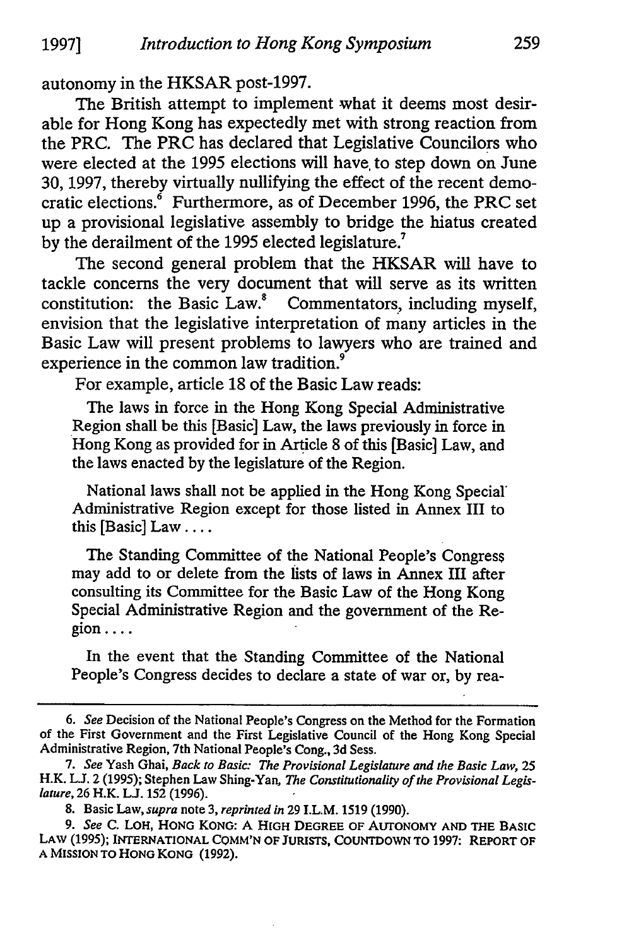autonomy in the HKSAR post-1997.

The British attempt to implement what it deems most desirable for Hong Kong has expectedly met with strong reaction from the PRC. The PRC has declared that Legislative Councilors who were elected at the 1995 elections will have, to step down on June 30, 1997, thereby virtually nullifying the effect of the recent democratic elections. $\delta$  Furthermore, as of December 1996, the PRC set up a provisional legislative assembly to bridge the hiatus created by the derailment of the 1995 elected legislature.<sup>7</sup>

The second general problem that the HKSAR will have to tackle concerns the very document that will serve as its written constitution: the Basic Law." Commentators, including myself, envision that the legislative interpretation of many articles in the Basic Law will present problems to lawyers who are trained and experience in the common law tradition.<sup>9</sup>

For example, article 18 of the Basic Law reads:

The laws in force in the Hong Kong Special Administrative Region shall be this [Basic] Law, the laws previously in force in Hong Kong as provided for in Article 8 of this [Basic] Law, and the laws enacted by the legislature of the Region.

National laws shall not be applied in the Hong Kong Special' Administrative Region except for those listed in Annex III to this [Basic] Law **....**

The Standing Committee of the National People's Congress may add to or delete from the lists of laws in Annex III after consulting its Committee for the Basic Law of the Hong Kong Special Administrative Region and the government of the Region ....

In the event that the Standing Committee of the National People's Congress decides to declare a state of war or, by rea-

8. Basic Law, *supra* note 3, *reprinted in* 29 I.L.M. 1519 (1990).

*9. See* **C.** LOH, HONG KONG: A HIGH DEGREE OF AUTONOMY **AND THE BASIC** LAW **(1995); INTERNATIONAL CQMM'N** OF **JURISTS, COUNTDOWN** TO **1997:** REPORT OF **A MISSION** TO **HONG KONG (1992).**

*<sup>6.</sup> See* Decision of the National People's Congress on the Method for the Formation of the First Government and the First Legislative Council of the Hong Kong Special Administrative Region, 7th National People's Cong., 3d Sess.

*<sup>7.</sup> See* Yash Ghai, *Back to Basic: The Provisional Legislature and the Basic Law,* 25 H.K. **LJ.** 2 (1995); Stephen Law Shing-Yan, *The Constitutionality of the Provisional Legislature,* 26 H.K. **LJ.** 152 (1996).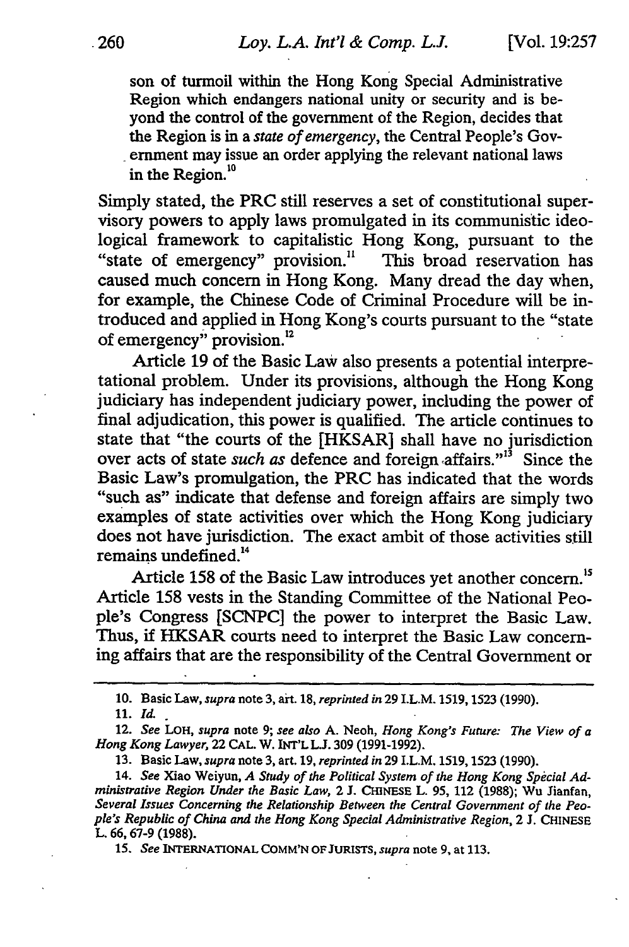son of turmoil within the Hong Kong Special Administrative Region which endangers national unity or security and is beyond the control of the government of the Region, decides that the Region is in a *state of emergency,* the Central People's Government may issue an order applying the relevant national laws in the Region.<sup>10</sup>

Simply stated, the PRC still reserves a set of constitutional supervisory powers to apply laws promulgated in its communistic ideological framework to capitalistic Hong Kong, pursuant to the "state of emergency" provision." This broad reservation has caused much concern in Hong Kong. Many dread the day when, for example, the Chinese Code of Criminal Procedure will be introduced and applied in Hong Kong's courts pursuant to the "state of emergency" provision.<sup>12</sup>

Article 19 of the Basic Law also presents a potential interpretational problem. Under its provisions, although the Hong Kong judiciary has independent judiciary power, including the power of final adjudication, this power is qualified. The article continues to state that "the courts of the [HKSAR] shall have no jurisdiction over acts of state *such as* defence and foreign affairs."<sup>3</sup> Since the Basic Law's promulgation, the PRC has indicated that the words "such as" indicate that defense and foreign affairs are simply two examples of state activities over which the Hong Kong judiciary does not have jurisdiction. The exact ambit of those activities still remains undefined.<sup>14</sup>

Article 158 of the Basic Law introduces yet another concern.<sup>15</sup> Article 158 vests in the Standing Committee of the National People's Congress [SCNPC] the power to interpret the Basic Law. Thus, if HKSAR courts need to interpret the Basic Law concerning affairs that are the responsibility of the Central Government or

15. *See* INTERNATIONAL COMM'N OF **JURISTS,** *supra* note 9, at 113.

**<sup>10.</sup>** Basic Law, *supra* note **3,** art. **18,** *reprinted in* 29 I.L.M. **1519,** 1523 (1990).

**<sup>11.</sup>** Id.

<sup>12.</sup> *See* LOH, *supra* note 9; *see also* A. Neoh, *Hong Kong's Future: The View of a Hong Kong Lawyer,* 22 CAL. W. INT'L **L.J.** 309 (1991-1992).

<sup>13.</sup> Basic Law, *supra* note 3, art. 19, *reprinted in* 29 I.L.M. 1519,1523 (1990).

<sup>14.</sup> *See* Xiao Weiyun, *A Study of the Political System of the Hong Kong Special Administrative Region Under the Basic Law, 2 J. CHINESE L. 95, 112 (1988); Wu Jianfan, Several Issues* Concerning *the Relationship Between the Central Government of the People's Republic of China and the Hong Kong Special Administrative Region,* 2 J. CHINESE L. **66, 67-9** (1988).